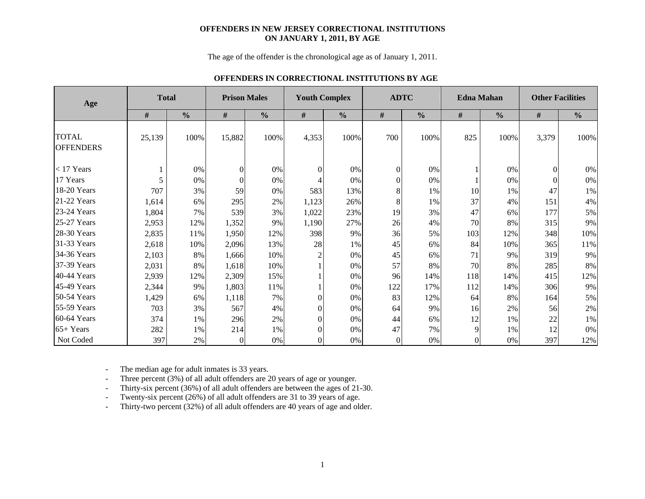#### **OFFENDERS IN NEW JERSEY CORRECTIONAL INSTITUTIONS ON JANUARY 1, 2011, BY AGE**

The age of the offender is the chronological age as of January 1, 2011.

#### **OFFENDERS IN CORRECTIONAL INSTITUTIONS BY AGE**

| Age                              | <b>Total</b> |               | <b>Prison Males</b> |               |                | <b>Youth Complex</b> |          | <b>ADTC</b>   |                  | <b>Edna Mahan</b> | <b>Other Facilities</b> |               |  |  |
|----------------------------------|--------------|---------------|---------------------|---------------|----------------|----------------------|----------|---------------|------------------|-------------------|-------------------------|---------------|--|--|
|                                  | #            | $\frac{0}{0}$ | #                   | $\frac{0}{0}$ | #              | $\frac{0}{0}$        | #        | $\frac{0}{0}$ | $\#$             | $\frac{0}{0}$     | #                       | $\frac{0}{0}$ |  |  |
| <b>TOTAL</b><br><b>OFFENDERS</b> | 25,139       | 100%          | 15,882              | 100%          | 4,353          | 100%                 | 700      | 100%          | 825              | 100%              | 3,379                   | 100%          |  |  |
| $<$ 17 Years                     |              | 0%            | $\Omega$            | $0\%$         | $\Omega$       | 0%                   | $\theta$ | 0%            |                  | $0\%$             | $\Omega$                | 0%            |  |  |
| 17 Years                         |              | 0%            | $\Omega$            | 0%            |                | 0%                   | $\Omega$ | 0%            |                  | 0%                |                         | $0\%$         |  |  |
| 18-20 Years                      | 707          | 3%            | 59                  | 0%            | 583            | 13%                  | 8        | 1%            | 10               | 1%                | 47                      | 1%            |  |  |
| 21-22 Years                      | 1,614        | 6%            | 295                 | 2%            | 1,123          | 26%                  | 8        | 1%            | 37               | 4%                | 151                     | 4%            |  |  |
| 23-24 Years                      | 1,804        | 7%            | 539                 | 3%            | 1,022          | 23%                  | 19       | 3%            | 47               | 6%                | 177                     | 5%            |  |  |
| 25-27 Years                      | 2,953        | 12%           | 1,352               | 9%            | 1,190          | 27%                  | 26       | 4%            | 70               | 8%                | 315                     | 9%            |  |  |
| 28-30 Years                      | 2,835        | 11%           | 1,950               | 12%           | 398            | 9%                   | 36       | 5%            | 103              | 12%               | 348                     | 10%           |  |  |
| 31-33 Years                      | 2,618        | 10%           | 2,096               | 13%           | 28             | 1%                   | 45       | 6%            | 84               | 10%               | 365                     | 11%           |  |  |
| 34-36 Years                      | 2,103        | 8%            | 1,666               | 10%           | $\overline{c}$ | $0\%$                | 45       | 6%            | 71               | 9%                | 319                     | 9%            |  |  |
| 37-39 Years                      | 2,031        | 8%            | 1,618               | 10%           |                | 0%                   | 57       | 8%            | 70               | 8%                | 285                     | 8%            |  |  |
| 40-44 Years                      | 2,939        | 12%           | 2,309               | 15%           |                | 0%                   | 96       | 14%           | 118              | 14%               | 415                     | 12%           |  |  |
| 45-49 Years                      | 2,344        | 9%            | 1,803               | 11%           |                | 0%                   | 122      | 17%           | 112              | 14%               | 306                     | 9%            |  |  |
| 50-54 Years                      | 1,429        | 6%            | 1,118               | 7%            | $\Omega$       | 0%                   | 83       | 12%           | 64               | 8%                | 164                     | 5%            |  |  |
| 55-59 Years                      | 703          | 3%            | 567                 | 4%            | $\Omega$       | 0%                   | 64       | 9%            | 16               | 2%                | 56                      | 2%            |  |  |
| 60-64 Years                      | 374          | 1%            | 296                 | 2%            | $\Omega$       | 0%                   | 44       | 6%            | 12               | 1%                | 22                      | $1\%$         |  |  |
| 65+ Years                        | 282          | 1%            | 214                 | 1%            | $\theta$       | 0%                   | 47       | 7%            | 9                | 1%                | 12                      | 0%            |  |  |
| Not Coded                        | 397          | 2%            | $\Omega$            | $0\%$         | $\theta$       | 0%                   | $\Omega$ | $0\%$         | $\boldsymbol{0}$ | 0%                | 397                     | 12%           |  |  |

-The median age for adult inmates is 33 years.

-Three percent (3%) of all adult offenders are 20 years of age or younger.

-Thirty-six percent (36%) of all adult offenders are between the ages of 21-30.

-Twenty-six percent (26%) of all adult offenders are 31 to 39 years of age.

-Thirty-two percent (32%) of all adult offenders are 40 years of age and older.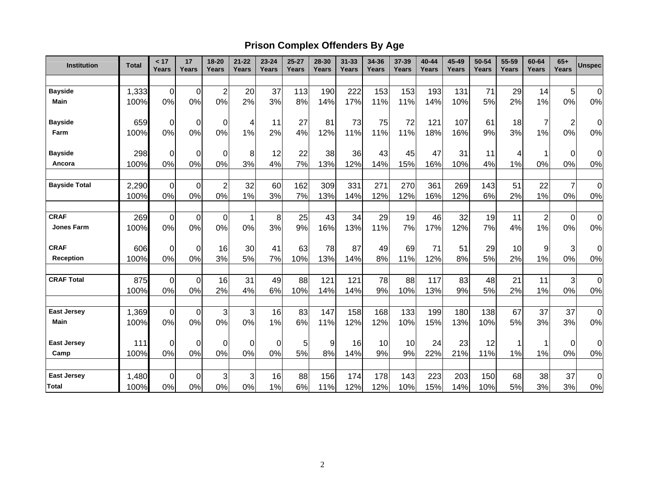# **Prison Complex Offenders By Age**

| <b>Institution</b>   | <b>Total</b>  | < 17<br>Years     | 17<br>Years       | 18-20<br>Years   | $21 - 22$<br>Years | $23 - 24$<br>Years | $25 - 27$<br>Years | 28-30<br>Years | $31 - 33$<br>Years | 34-36<br>Years | 37-39<br>Years | $40 - 44$<br>Years | 45-49<br>Years | 50-54<br>Years | 55-59<br>Years | 60-64<br>Years | $65+$<br><b>Years</b>   | <b>Unspec</b>      |
|----------------------|---------------|-------------------|-------------------|------------------|--------------------|--------------------|--------------------|----------------|--------------------|----------------|----------------|--------------------|----------------|----------------|----------------|----------------|-------------------------|--------------------|
|                      |               |                   |                   |                  |                    |                    |                    |                |                    |                |                |                    |                |                |                |                |                         |                    |
| <b>Bayside</b>       | 1,333         | $\mathbf 0$       | $\mathbf 0$       | $\overline{c}$   | 20                 | 37                 | 113                | 190            | 222                | 153            | 153            | 193                | 131            | 71             | 29             | 14             | 5                       | $\overline{0}$     |
| <b>Main</b>          | 100%          | 0%                | 0%                | 0%               | 2%                 | 3%                 | 8%                 | 14%            | 17%                | 11%            | 11%            | 14%                | 10%            | 5%             | 2%             | 1%             | 0%                      | 0%                 |
| <b>Bayside</b>       | 659           | $\mathbf 0$       | $\mathbf 0$       | 0                | 4                  | 11                 | 27                 | 81             | 73                 | 75             | 72             | 121                | 107            | 61             | 18             | 7              | $\overline{\mathbf{c}}$ | 0                  |
| Farm                 | 100%          | 0%                | 0%                | 0%               | 1%                 | 2%                 | 4%                 | 12%            | 11%                | 11%            | 11%            | 18%                | 16%            | 9%             | 3%             | 1%             | 0%                      | 0%                 |
| <b>Bayside</b>       | 298           | $\mathbf 0$       | $\mathbf 0$       | 0                | 8                  | 12                 | 22                 | 38             | 36                 | 43             | 45             | 47                 | 31             | 11             | 4              | 1              | $\boldsymbol{0}$        | 0                  |
| Ancora               | 100%          | 0%                | 0%                | 0%               | 3%                 | 4%                 | 7%                 | 13%            | 12%                | 14%            | 15%            | 16%                | 10%            | 4%             | 1%             | 0%             | 0%                      | 0%                 |
| <b>Bayside Total</b> | 2,290         | $\mathbf 0$       | $\mathbf 0$       | $\overline{c}$   | 32                 | 60                 | 162                | 309            | 331                | 271            | 270            | 361                | 269            | 143            | 51             | 22             | $\overline{7}$          | $\mathbf 0$        |
|                      | 100%          | 0%                | 0%                | 0%               | 1%                 | 3%                 | 7%                 | 13%            | 14%                | 12%            | 12%            | 16%                | 12%            | 6%             | 2%             | 1%             | 0%                      | 0%                 |
| <b>CRAF</b>          | 269           | $\overline{0}$    | $\mathbf 0$       | $\boldsymbol{0}$ | 1                  | 8                  | 25                 | 43             | 34                 | 29             | 19             | 46                 | 32             | 19             | 11             | $\overline{c}$ | $\boldsymbol{0}$        | $\mathbf 0$        |
| <b>Jones Farm</b>    | 100%          | 0%                | 0%                | 0%               | 0%                 | 3%                 | 9%                 | 16%            | 13%                | 11%            | 7%             | 17%                | 12%            | 7%             | 4%             | 1%             | 0%                      | 0%                 |
| <b>CRAF</b>          | 606           | $\mathbf 0$       | $\mathbf 0$       | 16               | 30                 | 41                 | 63                 | 78             | 87                 | 49             | 69             | 71                 | 51             | 29             | 10             | 9              | 3                       | 0                  |
| <b>Reception</b>     | 100%          | 0%                | 0%                | 3%               | 5%                 | 7%                 | 10%                | 13%            | 14%                | 8%             | 11%            | 12%                | 8%             | 5%             | 2%             | 1%             | 0%                      | 0%                 |
| <b>CRAF Total</b>    | 875           | $\overline{0}$    | $\mathbf 0$       | 16               | 31                 | 49                 | 88                 | 121            | 121                | 78             | 88             | 117                | 83             | 48             | 21             | 11             | 3                       | $\mathbf 0$        |
|                      | 100%          | 0%                | 0%                | 2%               | 4%                 | 6%                 | 10%                | 14%            | 14%                | 9%             | 10%            | 13%                | 9%             | 5%             | 2%             | 1%             | 0%                      | 0%                 |
| <b>East Jersey</b>   | 1,369         | $\mathbf 0$       | $\mathbf 0$       | 3                | 3                  | 16                 | 83                 | 147            | 158                | 168            | 133            | 199                | 180            | 138            | 67             | 37             | 37                      | $\mathbf 0$        |
| <b>Main</b>          | 100%          | 0%                | 0%                | 0%               | 0%                 | 1%                 | 6%                 | 11%            | 12%                | 12%            | 10%            | 15%                | 13%            | 10%            | 5%             | 3%             | 3%                      | 0%                 |
| <b>East Jersey</b>   | 111           | $\mathbf 0$       | $\mathbf 0$       | $\boldsymbol{0}$ | $\mathbf 0$        | $\mathbf 0$        | 5                  | 9              | 16                 | 10             | 10             | 24                 | 23             | 12             |                | 1              | $\mathbf 0$             | $\mathbf 0$        |
| Camp                 | 100%          | 0%                | 0%                | 0%               | 0%                 | 0%                 | 5%                 | 8%             | 14%                | 9%             | 9%             | 22%                | 21%            | 11%            | 1%             | 1%             | 0%                      | 0%                 |
| <b>East Jersey</b>   |               |                   |                   |                  |                    |                    |                    |                |                    |                |                |                    |                |                |                |                |                         |                    |
| <b>Total</b>         | 1,480<br>100% | $\mathbf 0$<br>0% | $\mathbf 0$<br>0% | 3<br>0%          | 3<br>0%            | 16<br>1%           | 88<br>6%           | 156<br>11%     | 174<br>12%         | 178<br>12%     | 143<br>10%     | 223<br>15%         | 203<br>14%     | 150<br>10%     | 68<br>5%       | 38<br>3%       | 37<br>3%                | $\pmb{0}$<br>$0\%$ |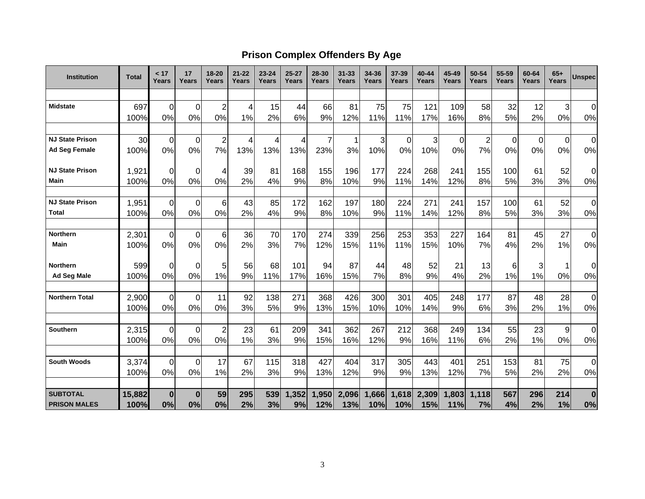### **Prison Complex Offenders By Age**

| <b>Institution</b>     | <b>Total</b>  | < 17<br>Years     | 17<br>Years       | $18 - 20$<br>Years | $21 - 22$<br>Years | $23 - 24$<br>Years | $25 - 27$<br>Years | 28-30<br>Years | $31 - 33$<br>Years | 34-36<br><b>Years</b> | $37 - 39$<br>Years | 40-44<br>Years | 45-49<br>Years | 50-54<br>Years | 55-59<br>Years | 60-64<br>Years | $65+$<br>Years | <b>Unspec</b> |
|------------------------|---------------|-------------------|-------------------|--------------------|--------------------|--------------------|--------------------|----------------|--------------------|-----------------------|--------------------|----------------|----------------|----------------|----------------|----------------|----------------|---------------|
|                        |               |                   |                   |                    |                    |                    |                    |                |                    |                       |                    |                |                |                |                |                |                |               |
| <b>Midstate</b>        | 697           | $\mathbf 0$       | $\Omega$          | $\overline{2}$     | 4                  | 15                 | 44                 | 66             | 81                 | 75                    | 75                 | 121            | 109            | 58             | 32             | 12             | 3              | 0             |
|                        | 100%          | 0%                | 0%                | 0%                 | 1%                 | 2%                 | 6%                 | 9%             | 12%                | 11%                   | 11%                | 17%            | 16%            | 8%             | 5%             | 2%             | 0%             | $0\%$         |
|                        |               |                   |                   |                    |                    |                    |                    |                |                    |                       |                    |                |                |                |                |                |                |               |
| <b>NJ State Prison</b> | 30            | $\mathbf 0$       | $\mathbf 0$       | $\overline{2}$     | 4                  | 4                  | 4                  | $\overline{7}$ | 1                  | 3                     | 0                  | 3              | 0              | $\overline{2}$ | 0              | $\mathbf{0}$   | $\mathbf 0$    | $\mathbf 0$   |
| <b>Ad Seg Female</b>   | 100%          | 0%                | 0%                | 7%                 | 13%                | 13%                | 13%                | 23%            | 3%                 | 10%                   | 0%                 | 10%            | 0%             | 7%             | 0%             | 0%             | 0%             | 0%            |
| <b>NJ State Prison</b> | 1,921         | $\Omega$          | $\Omega$          | 4                  | 39                 | 81                 | 168                | 155            | 196                | 177                   | 224                | 268            | 241            | 155            | 100            | 61             | 52             | 0             |
| Main                   | 100%          | 0%                | 0%                | 0%                 | 2%                 | 4%                 | 9%                 | 8%             | 10%                | 9%                    | 11%                | 14%            | 12%            | 8%             | 5%             | 3%             | 3%             | 0%            |
| <b>NJ State Prison</b> | 1,951         | $\mathbf 0$       | $\Omega$          | 6 <sup>1</sup>     | 43                 | 85                 | 172                | 162            | 197                | 180                   | 224                | 271            | 241            | 157            | 100            | 61             | 52             | 0             |
| Total                  | 100%          | 0%                | 0%                | 0%                 | 2%                 | 4%                 | 9%                 | 8%             | 10%                | 9%                    | 11%                | 14%            | 12%            | 8%             | 5%             | 3%             | 3%             | $0\%$         |
| <b>Northern</b>        | 2,301         | $\mathbf 0$       | $\mathbf 0$       | $6 \mid$           | 36                 | 70                 | 170                | 274            | 339                | 256                   | 253                | 353            | 227            | 164            | 81             | 45             | 27             | 0             |
| Main                   | 100%          | 0%                | 0%                | 0%                 | 2%                 | 3%                 | 7%                 | 12%            | 15%                | 11%                   | 11%                | 15%            | 10%            | 7%             | 4%             | 2%             | 1%             | 0%            |
| <b>Northern</b>        | 599           | 0                 | $\Omega$          | 5                  | 56                 | 68                 | 101                | 94             | 87                 | 44                    | 48                 | 52             | 21             | 13             | 6              | 3              | 1              | 0             |
| <b>Ad Seg Male</b>     | 100%          | 0%                | 0%                | 1%                 | 9%                 | 11%                | 17%                | 16%            | 15%                | 7%                    | 8%                 | 9%             | 4%             | 2%             | 1%             | 1%             | 0%             | 0%            |
| <b>Northern Total</b>  | 2,900         | 0                 | $\Omega$          | 11                 | 92                 | 138                | 271                | 368            | 426                | 300                   | 301                | 405            | 248            | 177            | 87             | 48             | 28             | 0             |
|                        | 100%          | 0%                | 0%                | 0%                 | 3%                 | 5%                 | 9%                 | 13%            | 15%                | 10%                   | 10%                | 14%            | 9%             | 6%             | 3%             | 2%             | 1%             | $0\%$         |
| <b>Southern</b>        | 2,315         | $\mathbf 0$       | $\Omega$          | $\overline{2}$     | 23                 | 61                 | 209                | 341            | 362                | 267                   | 212                | 368            | 249            | 134            | 55             | 23             | 9              | 0             |
|                        | 100%          | 0%                | 0%                | 0%                 | 1%                 | 3%                 | 9%                 | 15%            | 16%                | 12%                   | 9%                 | 16%            | 11%            | 6%             | 2%             | 1%             | 0%             | $0\%$         |
|                        |               |                   |                   |                    |                    |                    |                    |                |                    |                       |                    |                |                |                |                |                |                |               |
| <b>South Woods</b>     | 3,374<br>100% | $\mathbf 0$<br>0% | $\mathbf 0$<br>0% | 17<br>1%           | 67<br>2%           | 115<br>3%          | 318<br>9%          | 427<br>13%     | 404<br>12%         | 317<br>9%             | 305<br>9%          | 443<br>13%     | 401<br>12%     | 251<br>7%      | 153<br>5%      | 81<br>2%       | 75<br>2%       | 0<br>0%       |
|                        |               |                   |                   |                    |                    |                    |                    |                |                    |                       |                    |                |                |                |                |                |                |               |
| <b>SUBTOTAL</b>        | 15,882        | $\bf{0}$          | $\bf{0}$          | 59                 | 295                | 539                | 1,352              | 1,950          | 2,096              | 1,666                 | 1,618              | 2,309          | 1,803          | 1,118          | 567            | 296            | 214            | $\bf{0}$      |
| <b>PRISON MALES</b>    | 100%          | 0%                | 0%                | 0%                 | 2%                 | 3%                 | 9%                 | 12%            | 13%                | 10%                   | 10%                | 15%            | 11%            | 7%             | 4%             | 2%             | 1%             | 0%            |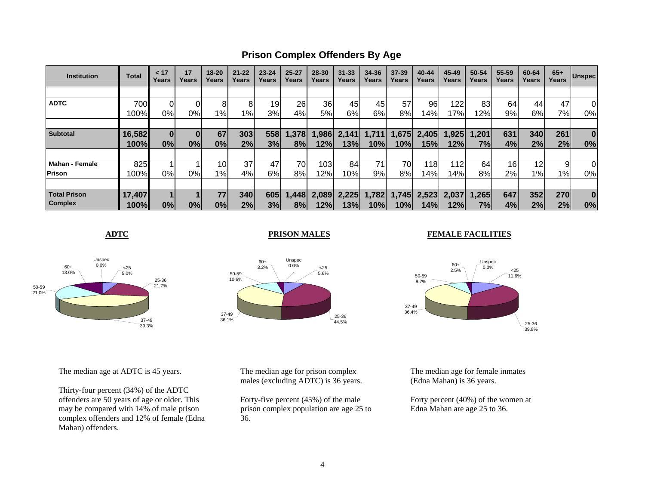**Prison Complex Offenders By Age**

| <b>Institution</b>    | <b>Total</b> | < 17<br>Years | 17<br>Years | $18 - 20$<br>Years | $21 - 22$<br>Years | $23 - 24$<br>Years | $25 - 27$<br>Years | 28-30<br>Years | $31 - 33$<br>Years | 34-36<br>Years | $37 - 39$<br>Years | 40-44<br>Years | 45-49<br>Years | 50-54<br>Years | 55-59<br>Years | 60-64<br>Years | $65+$<br>Years | <b>Unspec</b> |
|-----------------------|--------------|---------------|-------------|--------------------|--------------------|--------------------|--------------------|----------------|--------------------|----------------|--------------------|----------------|----------------|----------------|----------------|----------------|----------------|---------------|
|                       |              |               |             |                    |                    |                    |                    |                |                    |                |                    |                |                |                |                |                |                |               |
| <b>ADTC</b>           | 700          |               |             | 8                  | 8                  | 19                 | 26                 | 36             | 45                 | 45             | 57                 | 96             | 122            | 83             | 64             | 44             | 47             | 0             |
|                       | 100%         | 0%            | 0%          | 1%                 | $1\%$              | 3%                 | 4%                 | 5%             | 6%                 | 6%             | 8%                 | $ 4\% $        | 17%            | 12%            | 9%             | 6%             | 7%             | 0%            |
|                       |              |               |             |                    |                    |                    |                    |                |                    |                |                    |                |                |                |                |                |                |               |
| <b>Subtotal</b>       | 16,582       | 0             | $\bf{0}$    | 67                 | 303                | 558                | 1,378              | .986           | 2,141              | 1,711          | 1,675              | 2,405          | .925           | 1,201          | 631            | 340            | 261            | $\bf{0}$      |
|                       | 100%         | 0%            | 0%          | 0%                 | 2%                 | 3%                 | 8%                 | 12%            | 13%                | 10%            | 10%l               | 15%            | 12%            | 7%             | 4%             | 2%             | 2%             | 0%            |
|                       |              |               |             |                    |                    |                    |                    |                |                    |                |                    |                |                |                |                |                |                |               |
| <b>Mahan - Female</b> | 825          |               |             | 10 <sub>1</sub>    | 37                 | 47                 | 70                 | 103            | 84                 | 71             | 70I                | 118            | 12             | 64             | 16             | 12             | 9              | 0             |
| <b>Prison</b>         | 100%         | 0%            | 0%          | 1%                 | 4%                 | 6%                 | 8%                 | 12%            | 10%                | 9%             | 8%                 | 14%            | 14%            | 8%             | 2%             | $1\%$          | $1\%$          | 0%            |
|                       |              |               |             |                    |                    |                    |                    |                |                    |                |                    |                |                |                |                |                |                |               |
| <b>Total Prison</b>   | 17,407       |               |             | 77                 | 340                | 605                | 1,448              | 2.089          | 2,225              | 1,782          | 1,745              | 2,523          | 2.037          | .265           | 647            | 352            | 270            | $\bf{0}$      |
| <b>Complex</b>        | 100%         | 0%            | 0%          | 0%                 | 2%                 | 3%                 | 8%                 | 12%            | 13%                | 10%            | 10%                | 14%            | 12%            | 7%             | 4%             | 2%             | 2%             | 0%            |

**ADTC**



**PRISON MALES**



#### **FEMALE FACILITIES**



The median age at ADTC is 45 years.

Thirty-four percent (34%) of the ADTC offenders are 50 years of age or older. This may be compared with 14% of male prison complex offenders and 12% of female (Edna Mahan) offenders.

The median age for prison complex males (excluding ADTC) is 36 years.

Forty-five percent (45%) of the male prison complex population are age 25 to 36.

The median age for female inmates (Edna Mahan) is 36 years.

Forty percent (40%) of the women at Edna Mahan are age 25 to 36.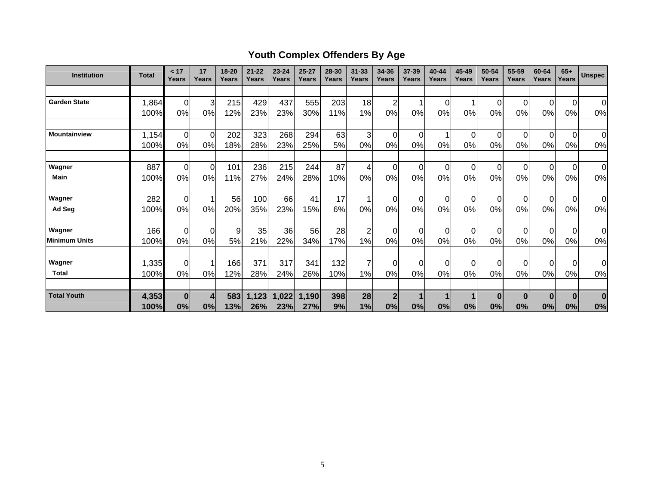# **Youth Complex Offenders By Age**

| <b>Institution</b>   | <b>Total</b> | < 17<br>Years  | 17<br>Years    | 18-20<br>Years | $21 - 22$<br>Years | $23 - 24$<br>Years | $25 - 27$<br>Years | 28-30<br>Years | $31 - 33$<br>Years | 34-36<br>Years | 37-39<br>Years | 40-44<br>Years | 45-49<br>Years | 50-54<br>Years | 55-59<br>Years | 60-64<br>Years | $65+$<br>Years | <b>Unspec</b>  |
|----------------------|--------------|----------------|----------------|----------------|--------------------|--------------------|--------------------|----------------|--------------------|----------------|----------------|----------------|----------------|----------------|----------------|----------------|----------------|----------------|
|                      |              |                |                |                |                    |                    |                    |                |                    |                |                |                |                |                |                |                |                |                |
| <b>Garden State</b>  | 1,864        | $\overline{0}$ | 3              | 215            | 429                | 437                | 555                | 203            | 18                 | $\overline{2}$ |                | 0              |                | 0              | $\Omega$       | 0              | $\overline{0}$ | $\overline{0}$ |
|                      | 100%         | 0%             | 0%             | 12%            | 23%                | 23%                | 30%                | 11%            | 1%                 | 0%             | 0%             | 0%             | 0%             | 0%             | 0%             | 0%             | 0%             | 0%             |
|                      |              |                |                |                |                    |                    |                    |                |                    |                |                |                |                |                |                |                |                |                |
| <b>Mountainview</b>  | 1,154        | $\mathbf 0$    | $\overline{0}$ | 202            | 323                | 268                | 294                | 63             | 3                  | $\mathbf 0$    | $\Omega$       |                | $\Omega$       | 0              | $\Omega$       | $\Omega$       | $\mathbf 0$    | $\overline{0}$ |
|                      | 100%         | 0%             | 0%             | 18%            | 28%                | 23%                | 25%                | 5%             | 0%                 | 0%             | 0%             | $0\%$          | 0%             | 0%             | 0%             | 0%             | 0%             | 0%             |
|                      |              |                |                |                |                    |                    |                    |                |                    |                |                |                |                |                |                |                |                |                |
| Wagner               | 887          | 0              | $\overline{0}$ | 101            | 236                | 215                | 244                | 87             | 4                  | $\mathbf 0$    | $\Omega$       | $\Omega$       | $\Omega$       | 0              | $\Omega$       | $\Omega$       | $\overline{0}$ | $\overline{0}$ |
| <b>Main</b>          | 100%         | 0%             | 0%             | 11%            | 27%                | 24%                | 28%                | 10%            | 0%                 | 0%             | 0%             | 0%             | 0%             | 0%             | 0%             | 0%             | 0%             | 0%             |
|                      |              |                |                |                |                    |                    |                    |                |                    |                |                |                |                |                |                |                |                |                |
| Wagner               | 282          | $\mathbf 0$    | 1              | 56             | 100                | 66                 | 41                 | 17             | 1                  | $\pmb{0}$      | 0              | 0              | $\Omega$       | $\mathbf 0$    |                | 0              | $\mathbf 0$    | Οl             |
| Ad Seg               | 100%         | 0%             | 0%             | 20%            | 35%                | 23%                | 15%                | 6%             | 0%                 | 0%             | 0%             | 0%             | 0%             | 0%             | 0%             | 0%             | 0%             | 0%             |
| Wagner               | 166          | $\mathbf 0$    | $\overline{0}$ | 9              | 35                 | 36                 | 56                 | 28             | $\overline{c}$     | $\mathbf 0$    | $\Omega$       | 0              | 0              | 0              |                | $\Omega$       | $\overline{0}$ | Οl             |
| <b>Minimum Units</b> | 100%         | 0%             | 0%             | 5%             | 21%                | 22%                | 34%                | 17%            | 1%                 | 0%             | 0%             | 0%             | 0%             | 0%             | 0%             | 0%             | 0%             | 0%             |
|                      |              |                |                |                |                    |                    |                    |                |                    |                |                |                |                |                |                |                |                |                |
| Wagner               | 1,335        | $\mathbf 0$    | 1              | 166            | 371                | 317                | 341                | 132            | $\overline{7}$     | $\mathbf 0$    | $\Omega$       | $\Omega$       | $\Omega$       | 0              | 0              | $\Omega$       | $\overline{0}$ | $\overline{0}$ |
| <b>Total</b>         | 100%         | 0%             | 0%             | 12%            | 28%                | 24%                | 26%                | 10%            | 1%                 | 0%             | 0%             | 0%             | 0%             | 0%             | 0%             | 0%             | 0%             | 0%             |
|                      |              |                |                |                |                    |                    |                    |                |                    |                |                |                |                |                |                |                |                |                |
| <b>Total Youth</b>   | 4,353        | 0              | 4              | 583            | 1,123              | 1,022              | 1,190              | 398            | 28                 | $\overline{2}$ |                |                |                | $\bf{0}$       | $\bf{0}$       | $\bf{0}$       | $\bf{0}$       | $\bf{0}$       |
|                      | 100%         | 0%             | 0%             | 13%            | 26%                | 23%                | 27%                | 9%             | 1%                 | 0%             | 0%             | 0%             | 0%             | 0%             | 0%             | 0%             | 0%             | 0%             |